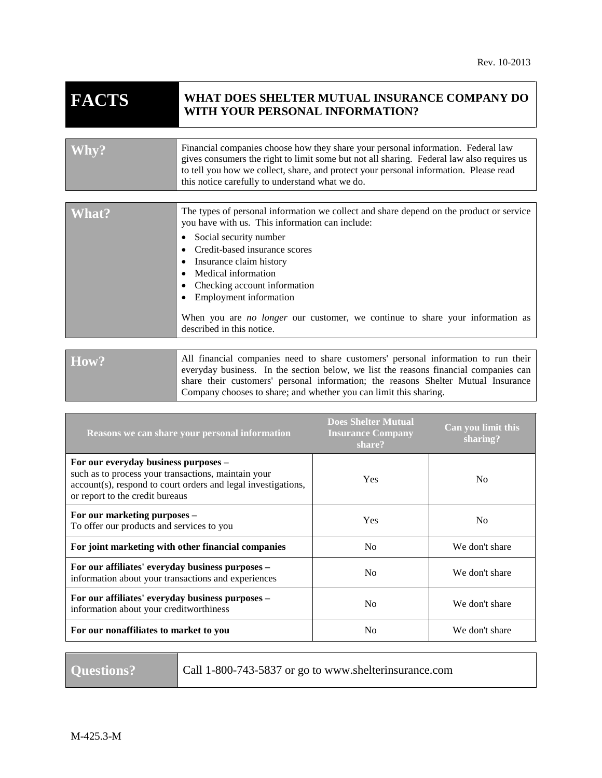# **FACTS WHAT DOES SHELTER MUTUAL INSURANCE COMPANY DO WITH YOUR PERSONAL INFORMATION?**

| Why?  | Financial companies choose how they share your personal information. Federal law<br>gives consumers the right to limit some but not all sharing. Federal law also requires us<br>to tell you how we collect, share, and protect your personal information. Please read<br>this notice carefully to understand what we do. |
|-------|---------------------------------------------------------------------------------------------------------------------------------------------------------------------------------------------------------------------------------------------------------------------------------------------------------------------------|
|       |                                                                                                                                                                                                                                                                                                                           |
| What? | The types of personal information we collect and share depend on the product or service<br>you have with us. This information can include:                                                                                                                                                                                |

- Social security number
- Credit-based insurance scores
- Insurance claim history
- Medical information
- Checking account information
- Employment information

When you are *no longer* our customer, we continue to share your information as described in this notice.

How? All financial companies need to share customers' personal information to run their everyday business. In the section below, we list the reasons financial companies can share their customers' personal information; the reasons Shelter Mutual Insurance Company chooses to share; and whether you can limit this sharing.

| Reasons we can share your personal information                                                                                                                                                  | <b>Does Shelter Mutual</b><br><b>Insurance Company</b><br>share? | Can you limit this<br>sharing? |
|-------------------------------------------------------------------------------------------------------------------------------------------------------------------------------------------------|------------------------------------------------------------------|--------------------------------|
| For our everyday business purposes -<br>such as to process your transactions, maintain your<br>account(s), respond to court orders and legal investigations,<br>or report to the credit bureaus | Yes                                                              | N <sub>0</sub>                 |
| For our marketing purposes -<br>To offer our products and services to you                                                                                                                       | Yes                                                              | N <sub>0</sub>                 |
| For joint marketing with other financial companies                                                                                                                                              | N <sub>0</sub>                                                   | We don't share                 |
| For our affiliates' everyday business purposes -<br>information about your transactions and experiences                                                                                         | N <sub>0</sub>                                                   | We don't share                 |
| For our affiliates' everyday business purposes -<br>information about your creditworthiness                                                                                                     | N <sub>0</sub>                                                   | We don't share                 |
| For our nonaffiliates to market to you                                                                                                                                                          | N <sub>0</sub>                                                   | We don't share                 |

**Questions?** Call 1-800-743-5837 or go to www.shelterinsurance.com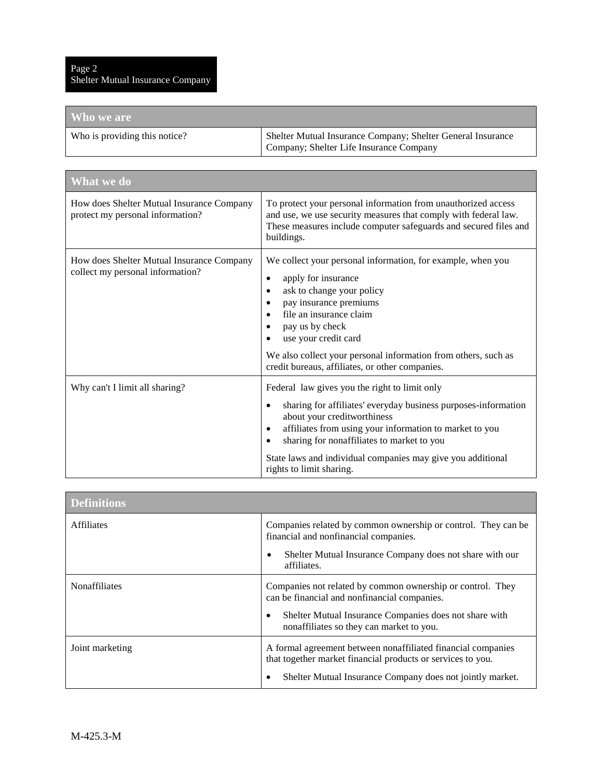| Who we are                    |                                                                                                        |
|-------------------------------|--------------------------------------------------------------------------------------------------------|
| Who is providing this notice? | Shelter Mutual Insurance Company; Shelter General Insurance<br>Company; Shelter Life Insurance Company |

| <b>What</b> we do                                                             |                                                                                                                                                                                                                                                                                                                                                                                   |  |
|-------------------------------------------------------------------------------|-----------------------------------------------------------------------------------------------------------------------------------------------------------------------------------------------------------------------------------------------------------------------------------------------------------------------------------------------------------------------------------|--|
| How does Shelter Mutual Insurance Company<br>protect my personal information? | To protect your personal information from unauthorized access<br>and use, we use security measures that comply with federal law.<br>These measures include computer safeguards and secured files and<br>buildings.                                                                                                                                                                |  |
| How does Shelter Mutual Insurance Company<br>collect my personal information? | We collect your personal information, for example, when you<br>apply for insurance<br>$\bullet$<br>ask to change your policy<br>pay insurance premiums<br>file an insurance claim<br>pay us by check<br>use your credit card<br>We also collect your personal information from others, such as<br>credit bureaus, affiliates, or other companies.                                 |  |
| Why can't I limit all sharing?                                                | Federal law gives you the right to limit only<br>sharing for affiliates' everyday business purposes-information<br>$\bullet$<br>about your creditworthiness<br>affiliates from using your information to market to you<br>٠<br>sharing for nonaffiliates to market to you<br>$\bullet$<br>State laws and individual companies may give you additional<br>rights to limit sharing. |  |

| <b>Definitions</b> |                                                                                                                                                                                               |
|--------------------|-----------------------------------------------------------------------------------------------------------------------------------------------------------------------------------------------|
| <b>Affiliates</b>  | Companies related by common ownership or control. They can be<br>financial and nonfinancial companies.                                                                                        |
|                    | Shelter Mutual Insurance Company does not share with our<br>٠<br>affiliates.                                                                                                                  |
| Nonaffiliates      | Companies not related by common ownership or control. They<br>can be financial and nonfinancial companies.                                                                                    |
|                    | Shelter Mutual Insurance Companies does not share with<br>٠<br>nonaffiliates so they can market to you.                                                                                       |
| Joint marketing    | A formal agreement between nonaffiliated financial companies<br>that together market financial products or services to you.<br>Shelter Mutual Insurance Company does not jointly market.<br>٠ |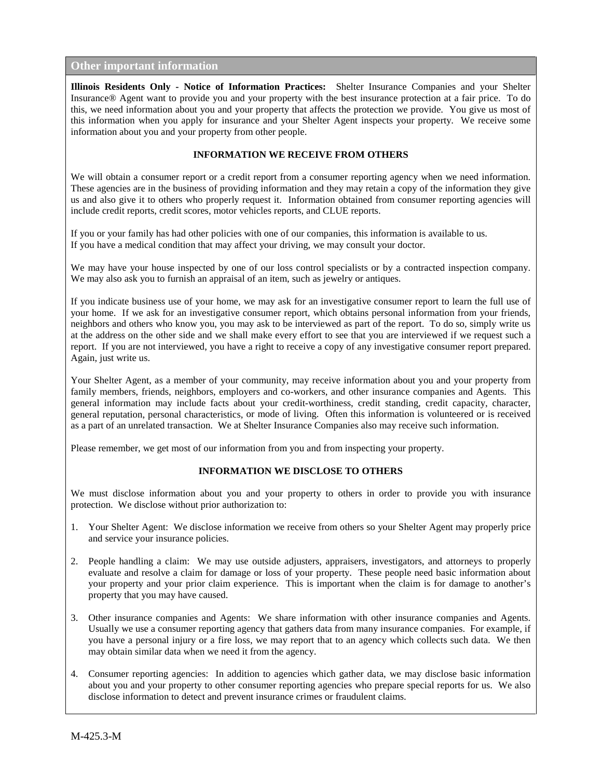## **Other important information**

**Illinois Residents Only - Notice of Information Practices:** Shelter Insurance Companies and your Shelter Insurance® Agent want to provide you and your property with the best insurance protection at a fair price. To do this, we need information about you and your property that affects the protection we provide. You give us most of this information when you apply for insurance and your Shelter Agent inspects your property. We receive some information about you and your property from other people.

### **INFORMATION WE RECEIVE FROM OTHERS**

We will obtain a consumer report or a credit report from a consumer reporting agency when we need information. These agencies are in the business of providing information and they may retain a copy of the information they give us and also give it to others who properly request it. Information obtained from consumer reporting agencies will include credit reports, credit scores, motor vehicles reports, and CLUE reports.

If you or your family has had other policies with one of our companies, this information is available to us. If you have a medical condition that may affect your driving, we may consult your doctor.

We may have your house inspected by one of our loss control specialists or by a contracted inspection company. We may also ask you to furnish an appraisal of an item, such as jewelry or antiques.

If you indicate business use of your home, we may ask for an investigative consumer report to learn the full use of your home. If we ask for an investigative consumer report, which obtains personal information from your friends, neighbors and others who know you, you may ask to be interviewed as part of the report. To do so, simply write us at the address on the other side and we shall make every effort to see that you are interviewed if we request such a report. If you are not interviewed, you have a right to receive a copy of any investigative consumer report prepared. Again, just write us.

Your Shelter Agent, as a member of your community, may receive information about you and your property from family members, friends, neighbors, employers and co-workers, and other insurance companies and Agents. This general information may include facts about your credit-worthiness, credit standing, credit capacity, character, general reputation, personal characteristics, or mode of living. Often this information is volunteered or is received as a part of an unrelated transaction. We at Shelter Insurance Companies also may receive such information.

Please remember, we get most of our information from you and from inspecting your property.

#### **INFORMATION WE DISCLOSE TO OTHERS**

We must disclose information about you and your property to others in order to provide you with insurance protection. We disclose without prior authorization to:

- 1. Your Shelter Agent: We disclose information we receive from others so your Shelter Agent may properly price and service your insurance policies.
- 2. People handling a claim: We may use outside adjusters, appraisers, investigators, and attorneys to properly evaluate and resolve a claim for damage or loss of your property. These people need basic information about your property and your prior claim experience. This is important when the claim is for damage to another's property that you may have caused.
- 3. Other insurance companies and Agents: We share information with other insurance companies and Agents. Usually we use a consumer reporting agency that gathers data from many insurance companies. For example, if you have a personal injury or a fire loss, we may report that to an agency which collects such data. We then may obtain similar data when we need it from the agency.
- 4. Consumer reporting agencies: In addition to agencies which gather data, we may disclose basic information about you and your property to other consumer reporting agencies who prepare special reports for us. We also disclose information to detect and prevent insurance crimes or fraudulent claims.